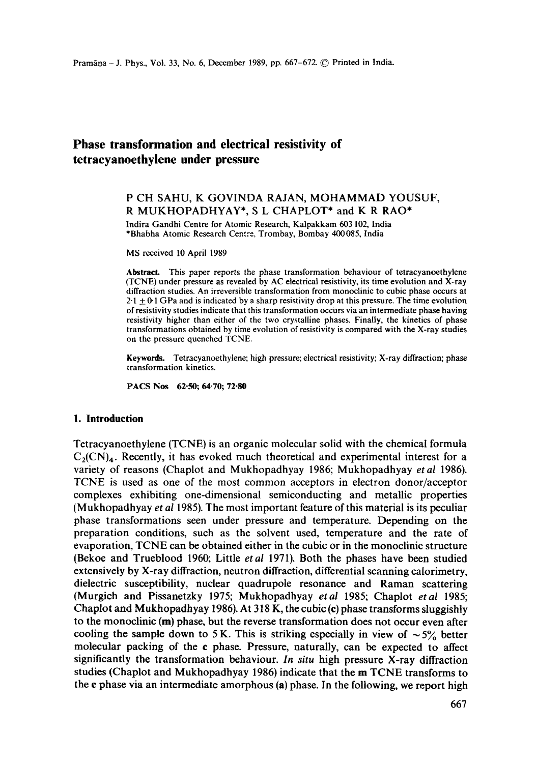# **Phase transformation and electrical resistivity of tetracyanoethylene under pressure**

# P CH SAHU, K GOVINDA RAJAN, MOHAMMAD YOUSUF, R MUKHOPADHYAY\*, S L CHAPLOT\* and K R RAO\*

Indira Gandhi Centre for Atomic Research, Kalpakkam 603 102, India \*Bhabha Atomic Research Centre, Trombay, Bombay 400085, India

MS received 10 April 1989

**Abstract.** This paper reports the phase transformation behaviour of tetracyanoethylene (TCNE) under pressure as revealed by AC electrical resistivity, its time evolution and X-ray diffraction studies. An irreversible transformation from monoclinic to cubic phase occurs at  $2.1 + 0.1$  GPa and is indicated by a sharp resistivity drop at this pressure. The time evolution of resistivity studies indicate that this transformation occurs via an intermediate phase having resistivity higher than either of the two crystalline phases. Finally, the kinetics of phase transformations obtained by time evolution of resistivity is compared with the X-ray studies on the pressure quenched TCNE.

**Keywords.** Tetracyanoethylene; high pressure; electrical resistivity; X-ray diffraction; phase transformation kinetics.

PACS Nos 62-50; 64-70; **72-80** 

### **1. Introduction**

Tetracyanoethylene (TCNE) is an organic molecular solid with the chemical formula  $C_2(CN)_4$ . Recently, it has evoked much theoretical and experimental interest for a variety of reasons (Chaplot and Mukhopadhyay 1986; Mukhopadhyay *etal* 1986). TCNE is used as one of the most common acceptors in electron donor/acceptor complexes exhibiting one-dimensional semiconducting and metallic properties (Mukhopadhyay *et al* 1985). The most important feature of this material is its peculiar phase transformations seen under pressure and temperature. Depending on the preparation conditions, such as the solvent used, temperature and the rate of evaporation, TCNE can be obtained either in the cubic or in the monoclinic structure (Bekoe and Trueblood 1960; Little *etal* 1971). Both the phases have been studied extensively by X-ray diffraction, neutron diffraction, differential scanning calorimetry, dielectric susceptibility, nuclear quadrupole resonance and Raman scattering (Murgich and Pissanetzky 1975; Mukhopadhyay *etal* 1985; Chaplot *etal* 1985; Chaplot and Mukhopadhyay 1986). At 318 K, the cubic (e) phase transforms sluggishly to the monoclinic (m) phase, but the reverse transformation does not occur even after cooling the sample down to 5 K. This is striking especially in view of  $\sim 5\%$  better molecular packing of the e phase. Pressure, naturally, can be expected to affect significantly the transformation behaviour. *In situ* high pressure X-ray diffraction studies (Chaplot and Mukhopadhyay 1986) indicate that the m TCNE transforms to the c phase via an intermediate amorphous (a) phase. In the following, we report high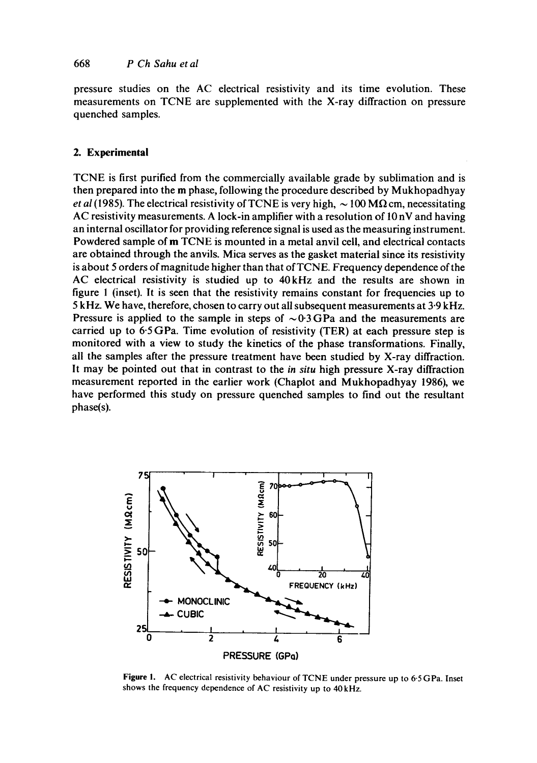pressure studies on the AC electrical resistivity and its time evolution. These measurements on TCNE are supplemented with the X-ray diffraction on pressure quenched samples.

# **2. Experimental**

TCNE is first purified from the commercially available grade by sublimation and is then prepared into the m phase, following the procedure described by Mukhopadhyay *et al* (1985). The electrical resistivity of TCNE is very high,  $\sim$  100 M $\Omega$  cm, necessitating AC resistivity measurements. A lock-in amplifier with a resolution of  $10 \text{ nV}$  and having an internal oscillator for providing reference signal is used as the measuring instrument. Powdered sample of m TCNE is mounted in a metal anvil cell, and electrical contacts are obtained through the anvils. Mica serves as the gasket material since its resistivity is about 5 orders of magnitude higher than that of TCNE. Frequency dependence of the AC electrical resistivity is studied up to 40kHz and the results are shown in figure 1 (inset). It is seen that the resistivity remains constant for frequencies up to 5 kHz. We have, therefore, chosen to carry out all subsequent measurements at 3.9 kHz. Pressure is applied to the sample in steps of  $\sim 0.3\,\text{GPa}$  and the measurements are carried up to 6-5 GPa. Time evolution of resistivity (TER) at each pressure step is monitored with a view to study the kinetics of the phase transformations. Finally, all the samples after the pressure treatment have been studied by X-ray diffraction. It may be pointed out that in contrast to the *in situ* high pressure X-ray diffraction measurement reported in the earlier work (Chaplot and Mukhopadhyay 1986), we have performed this study on pressure quenched samples to find out the resultant phase(s).



Figure I. AC electrical resistivity behaviour of TCNE under pressure up to 6-5 GPa. Inset shows the frequency dependence of AC resistivity up to 40 kHz.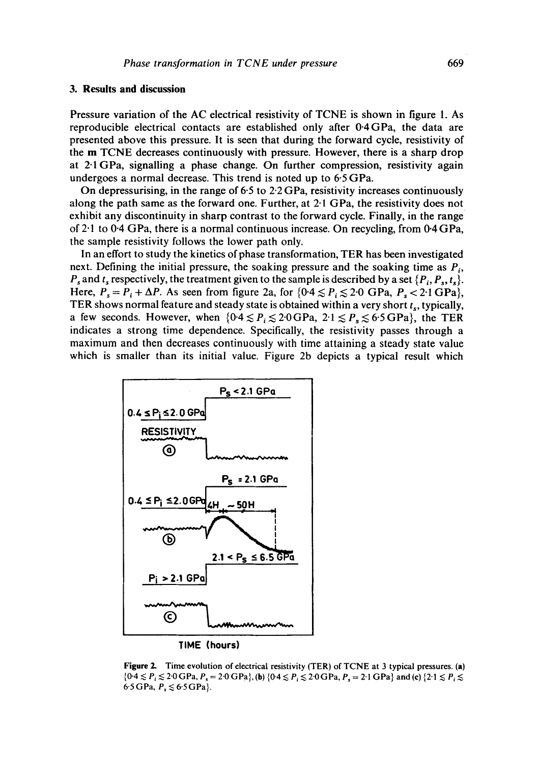#### **3. Results and discussion**

Pressure variation of the AC electrical resistivity of TCNE is shown in figure 1. As reproducible electrical contacts are established only after 0.4GPa, the data are presented above this pressure. It is seen that during the forward cycle, resistivity of the m TCNE decreases continuously with pressure. However, there is a sharp drop at 2-1GPa, signalling a phase change. On further compression, resistivity again undergoes a normal decrease. This trend is noted up to 6-5 GPa.

On depressurising, in the range of  $6.5$  to  $2.2$  GPa, resistivity increases continuously along the path same as the forward one. Further, at 2.1 GPa, the resistivity does not exhibit any discontinuity in sharp contrast to the forward cycle. Finally, in the range of 2.1 to 0.4 GPa, there is a normal continuous increase. On recycling, from 0.4 GPa, the sample resistivity follows the lower path only.

In an effort to study the kinetics of phase transformation, TER has been investigated next. Defining the initial pressure, the soaking pressure and the soaking time as  $P_i$ ,  $P_s$  and  $t_s$  respectively, the treatment given to the sample is described by a set  $\{P_i, P_s, t_s\}.$ Here,  $P_s = P_i + \Delta P$ . As seen from figure 2a, for  $\{0.4 \leq P_i \leq 2.0$  GPa,  $P_s < 2.1$  GPa $\}$ , TER shows normal feature and steady state is obtained within a very short  $t_s$ , typically, a few seconds. However, when  ${0.4 \le P_i \le 2.0}$  GPa,  $2.1 \le P_s \le 6.5}$  GPa}, the TER indicates a strong time dependence. Specifically, the resistivity passes through a maximum and then decreases continuously with time attaining a steady state value which is smaller than its initial value. Figure 2b depicts a typical result which



**Figure** 2. Time evolution of electrical resistivity (TER) of TCNE at 3 typical pressures. (a)  ${0.4 \leq P_i \leq 2.0}$  GPa,  $P_s = 2.0$  GPa}, (b)  ${0.4 \leq P_i \leq 2.0}$  GPa,  $P_s = 2.1$  GPa} and (c)  ${2.1 \leq P_i \leq 2.0}$ 6.5 GPa,  $P_s \le 6.5$  GPa}.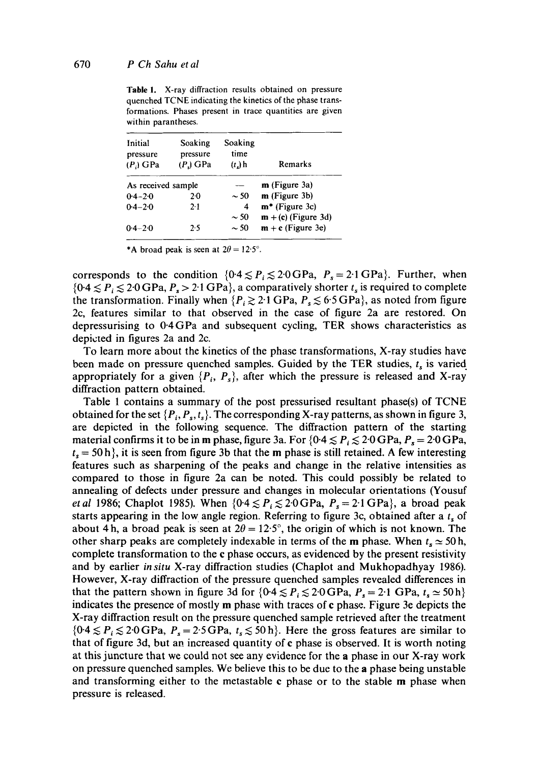Table 1. X-ray diffraction results obtained on pressure quenched TCNE indicating the kinetics of the phase transformations. Phases present in trace quantities are given within parantheses.

| Initial<br>pressure<br>$(P_i)$ GPa | Soaking<br>pressure<br>$(P1)$ GPa | Soaking<br>time<br>$(tn)$ h | Remarks               |
|------------------------------------|-----------------------------------|-----------------------------|-----------------------|
| As received sample                 |                                   |                             | $m$ (Figure 3a)       |
| $0.4 - 2.0$                        | $2-0$                             | $\sim$ 50                   | $m$ (Figure 3b)       |
| $0.4 - 2.0$                        | 21                                | 4                           | $m*$ (Figure 3c)      |
|                                    |                                   | ~50                         | $m + (c)$ (Figure 3d) |
| $0.4 - 2.0$                        | 2.5                               | $\sim$ 50                   | $m + c$ (Figure 3e)   |

\*A broad peak is seen at  $2\theta = 12.5^{\circ}$ .

corresponds to the condition  ${0.4 \le P_i \le 2.0}$  GPa,  $P_s = 2.1$  GPa}. Further, when  ${0.4 \leq P_i \leq 2.0 \text{ GPa}, P_s > 2.1 \text{ GPa}}$ , a comparatively shorter  $t_s$  is required to complete the transformation. Finally when  $\{P_i \geq 2 \cdot 1 \text{ GPa}, P_s \leq 6 \cdot 5 \text{ GPa}\}\)$ , as noted from figure 2c, features similar to that observed in the case of figure 2a are restored. On depressurising to 0-4GPa and subsequent cycling, TER shows characteristics as depicted in figures 2a and 2c.

To learn more about the kinetics of the phase transformations, X-ray studies have been made on pressure quenched samples. Guided by the TER studies,  $t_s$  is varied appropriately for a given  $\{P_i, P_s\}$ , after which the pressure is released and X-ray diffraction pattern obtained.

Table 1 contains a summary of the post pressurised resultant phase(s) of TCNE obtained for the set  $\{P_i, P_s, t_s\}$ . The corresponding X-ray patterns, as shown in figure 3, are depicted in the following sequence. The diffraction pattern of the starting material confirms it to be in m phase, figure 3a. For  ${0.4 \le P_i \le 2.0}$  GPa,  $P_s = 2.0$  GPa,  $t_s = 50$  h, it is seen from figure 3b that the m phase is still retained. A few interesting features such as sharpening of the peaks and change in the relative intensities as compared to those in figure 2a can be noted. This could possibly be related to annealing of defects under pressure and changes in molecular orientations (Yousuf *et al* 1986; Chaplot 1985). When  $\{0.4 \leq P_i \leq 2.0 \text{ GPa}, P_s = 2.1 \text{ GPa}\}\text{, a broad peak}$ starts appearing in the low angle region. Referring to figure 3c, obtained after a  $t<sub>s</sub>$  of about 4h, a broad peak is seen at  $2\theta = 12.5^{\circ}$ , the origin of which is not known. The other sharp peaks are completely indexable in terms of the m phase. When  $t_s \approx 50$  h, complete transformation to the e phase occurs, as evidenced by the present resistivity and by earlier *in situ* X-ray diffraction studies (Chaplot and Mukhopadhyay 1986). However, X-ray diffraction of the pressure quenched samples revealed differences in that the pattern shown in figure 3d for  $\{0.4 \leq P_i \leq 2.0 \text{ GPa}, P_s = 2.1 \text{ GPa}, t_s \approx 50 \text{ h}\}\$ indicates the presence of mostly m phase with traces of e phase. Figure 3e depicts the X-ray diffraction result on the pressure quenched sample retrieved after the treatment  ${0.4 \leq P_i \leq 2.0}$  GPa,  $P_s = 2.5$  GPa,  $t_s \leq 50$  h. Here the gross features are similar to that of figure 3d, but an increased quantity of e phase is observed. It is worth noting at this juncture that we could not see any evidence for the a phase in our X-ray work on pressure quenched samples. We believe this to be due to the a phase being unstable and transforming either to the metastable e phase or to the stable m phase when pressure is released.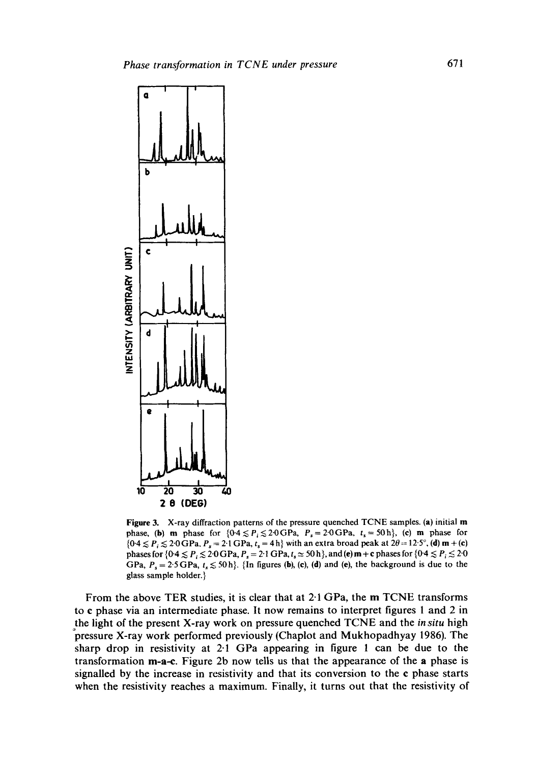

**Figure** 3. X-ray diffraction patterns of the pressure quenched TCNE samples. (a) initial m phase, (b) m phase for  ${0.4 \le P_i \le 2.0}$  GPa,  $P_s = 2.0$  GPa,  $t_s = 50$ h}, (c) m phase for  ${0.4 \leq P_i \leq 2.0 \text{ GPa}}$ ,  $P_s = 2.1 \text{ GPa}$ ,  $t_s = 4 \text{ h}$  with an extra broad peak at  $2\theta = 12.5^\circ$ , (d) m + (c) phases for  $\{0.4 \le P_i \le 2.0 \text{ GPa}, P_s = 2.1 \text{ GPa}, t_s \approx 50 \text{ h}\}$ , and (e) m + c phases for  $\{0.4 \le P_i \le 2.0 \text{ m}\}$ GPa,  $P_s = 2.5$  GPa,  $t_s \lesssim 50$  h}. {In figures (b), (c), (d) and (e), the background is due to the glass sample holder.}

From the above TER studies, it is clear that at 2.1 GPa, the m TCNE transforms to e phase via an intermediate phase. It now remains to interpret figures 1 and 2 in the light of the present X-ray work on pressure quenched TCNE and the *in situ* high pressure X-ray work performed previously (Chaplot and Mukhopadhyay 1986). The sharp drop in resistivity at 2-1 GPa appearing in figure 1 can be due to the transformation m-a-e. Figure 2b now tells us that the appearance of the a phase is signalled by the increase in resistivity and that its conversion to the e phase starts when the resistivity reaches a maximum. Finally, it turns out that the resistivity of